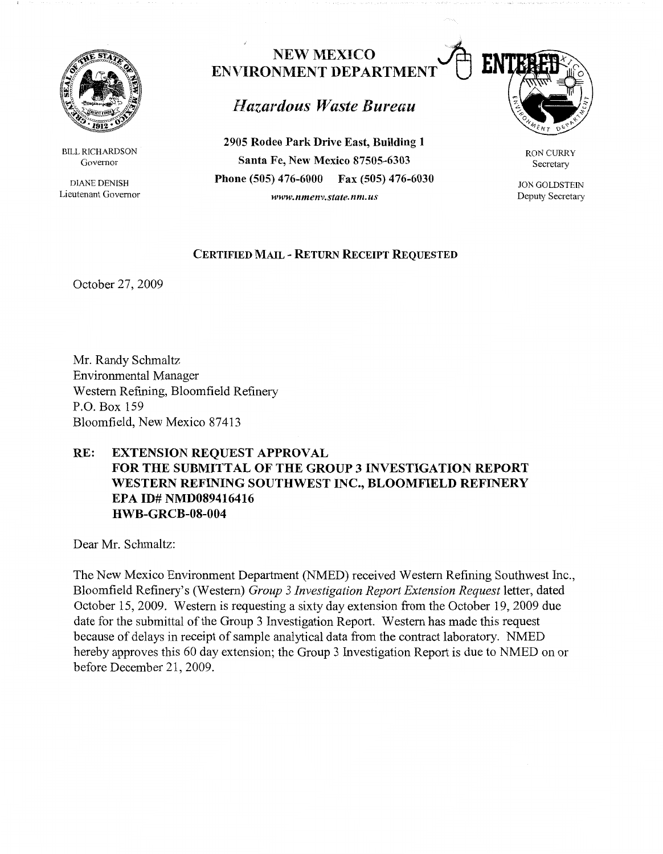

BILL RICHARDSON Governor

DIANE DENISH Lieutenant Governor

## **NEW MEXICO ENVIRONMENT DEPARTMENT**

## *Hazardous 1Vaste Bureau*

**2905 Rodeo Park Drive East, Building 1 Santa Fe, New Mexico 87505-6303 Phone (505) 476-6000 Fax (505) 476-6030**  *www.nmenv.state.nm.us* 



RON CURRY Secretary

JON GOLDSTEIN Deputy Secretary

## **CERTIFIED MAIL** - **RETURN RECEIPT REQUESTED**

October 27, 2009

Mr. Randy Schmaltz Environmental Manager Western Refining, Bloomfield Refinery P.O. Box 159 Bloomfield, New Mexico 87413

## **RE: EXTENSION REQUEST APPROVAL FOR THE SUBMITTAL OF THE GROUP 3 INVESTIGATION REPORT WESTERN REFINING SOUTHWEST INC., BLOOMFIELD REFINERY EPA ID# NMD089416416 HWB-GRCB-08-004**

Dear Mr. Schmaltz:

The New Mexico Environment Department (NMED) received Western Refining Southwest Inc., Bloomfield Refinery's (Western) *Group 3 Investigation Report Extension Request* letter, dated October 15, 2009. Western is requesting a sixty day extension from the October 19, 2009 due date for the submittal of the Group 3 Investigation Report. Western has made this request because of delays in receipt of sample analytical data from the contract laboratory. NMED hereby approves this 60 day extension; the Group 3 Investigation Report is due to NMED on or before December 21, 2009.